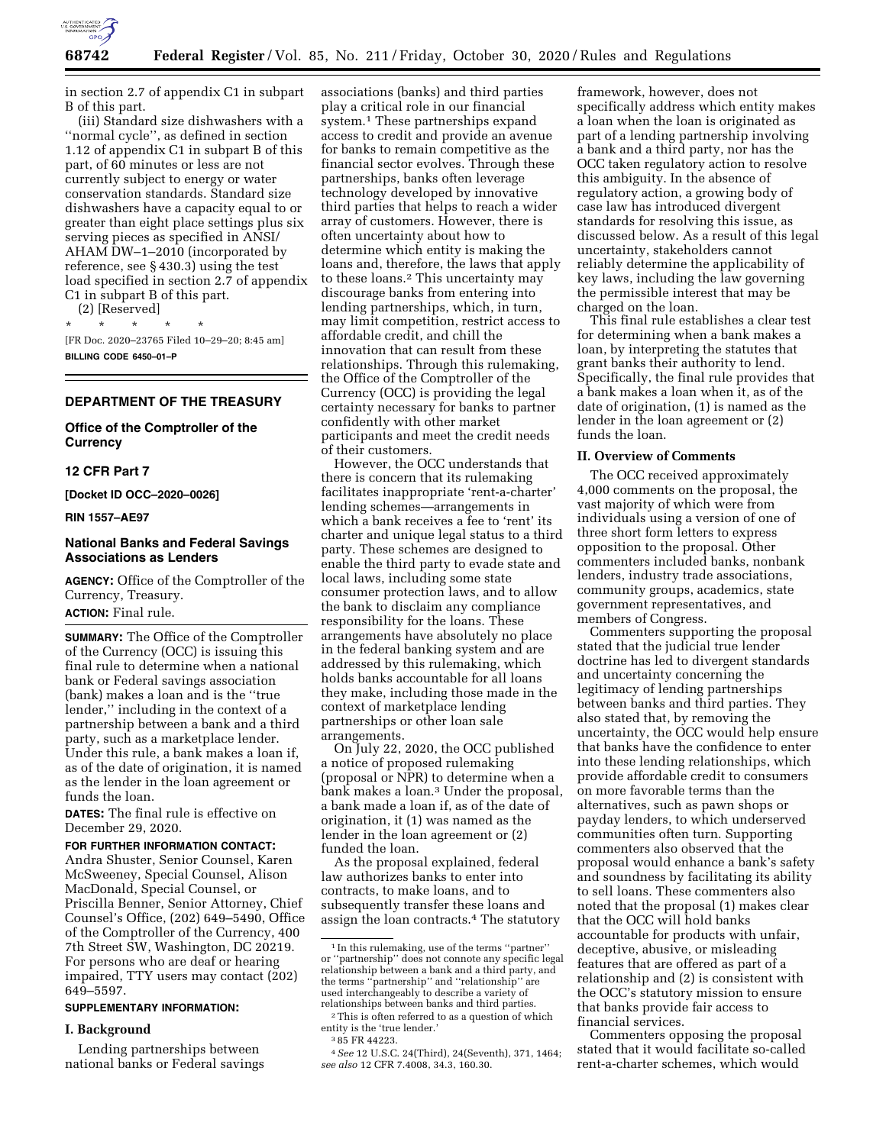

in section 2.7 of appendix C1 in subpart B of this part.

(iii) Standard size dishwashers with a ''normal cycle'', as defined in section 1.12 of appendix C1 in subpart B of this part, of 60 minutes or less are not currently subject to energy or water conservation standards. Standard size dishwashers have a capacity equal to or greater than eight place settings plus six serving pieces as specified in ANSI/ AHAM DW–1–2010 (incorporated by reference, see § 430.3) using the test load specified in section 2.7 of appendix C1 in subpart B of this part.

(2) [Reserved] \* \* \* \* \*

[FR Doc. 2020–23765 Filed 10–29–20; 8:45 am] **BILLING CODE 6450–01–P** 

## **DEPARTMENT OF THE TREASURY**

# **Office of the Comptroller of the Currency**

#### **12 CFR Part 7**

**[Docket ID OCC–2020–0026]** 

## **RIN 1557–AE97**

# **National Banks and Federal Savings Associations as Lenders**

**AGENCY:** Office of the Comptroller of the Currency, Treasury. **ACTION:** Final rule.

**SUMMARY:** The Office of the Comptroller of the Currency (OCC) is issuing this final rule to determine when a national bank or Federal savings association (bank) makes a loan and is the ''true lender,'' including in the context of a partnership between a bank and a third party, such as a marketplace lender. Under this rule, a bank makes a loan if, as of the date of origination, it is named as the lender in the loan agreement or funds the loan.

**DATES:** The final rule is effective on December 29, 2020.

## **FOR FURTHER INFORMATION CONTACT:**

Andra Shuster, Senior Counsel, Karen McSweeney, Special Counsel, Alison MacDonald, Special Counsel, or Priscilla Benner, Senior Attorney, Chief Counsel's Office, (202) 649–5490, Office of the Comptroller of the Currency, 400 7th Street SW, Washington, DC 20219. For persons who are deaf or hearing impaired, TTY users may contact (202) 649–5597.

## **SUPPLEMENTARY INFORMATION:**

#### **I. Background**

Lending partnerships between national banks or Federal savings associations (banks) and third parties play a critical role in our financial system.<sup>1</sup> These partnerships expand access to credit and provide an avenue for banks to remain competitive as the financial sector evolves. Through these partnerships, banks often leverage technology developed by innovative third parties that helps to reach a wider array of customers. However, there is often uncertainty about how to determine which entity is making the loans and, therefore, the laws that apply to these loans.2 This uncertainty may discourage banks from entering into lending partnerships, which, in turn, may limit competition, restrict access to affordable credit, and chill the innovation that can result from these relationships. Through this rulemaking, the Office of the Comptroller of the Currency (OCC) is providing the legal certainty necessary for banks to partner confidently with other market participants and meet the credit needs of their customers.

However, the OCC understands that there is concern that its rulemaking facilitates inappropriate 'rent-a-charter' lending schemes—arrangements in which a bank receives a fee to 'rent' its charter and unique legal status to a third party. These schemes are designed to enable the third party to evade state and local laws, including some state consumer protection laws, and to allow the bank to disclaim any compliance responsibility for the loans. These arrangements have absolutely no place in the federal banking system and are addressed by this rulemaking, which holds banks accountable for all loans they make, including those made in the context of marketplace lending partnerships or other loan sale arrangements.

On July 22, 2020, the OCC published a notice of proposed rulemaking (proposal or NPR) to determine when a bank makes a loan.3 Under the proposal, a bank made a loan if, as of the date of origination, it (1) was named as the lender in the loan agreement or (2) funded the loan.

As the proposal explained, federal law authorizes banks to enter into contracts, to make loans, and to subsequently transfer these loans and assign the loan contracts.4 The statutory

framework, however, does not specifically address which entity makes a loan when the loan is originated as part of a lending partnership involving a bank and a third party, nor has the OCC taken regulatory action to resolve this ambiguity. In the absence of regulatory action, a growing body of case law has introduced divergent standards for resolving this issue, as discussed below. As a result of this legal uncertainty, stakeholders cannot reliably determine the applicability of key laws, including the law governing the permissible interest that may be charged on the loan.

This final rule establishes a clear test for determining when a bank makes a loan, by interpreting the statutes that grant banks their authority to lend. Specifically, the final rule provides that a bank makes a loan when it, as of the date of origination, (1) is named as the lender in the loan agreement or (2) funds the loan.

#### **II. Overview of Comments**

The OCC received approximately 4,000 comments on the proposal, the vast majority of which were from individuals using a version of one of three short form letters to express opposition to the proposal. Other commenters included banks, nonbank lenders, industry trade associations, community groups, academics, state government representatives, and members of Congress.

Commenters supporting the proposal stated that the judicial true lender doctrine has led to divergent standards and uncertainty concerning the legitimacy of lending partnerships between banks and third parties. They also stated that, by removing the uncertainty, the OCC would help ensure that banks have the confidence to enter into these lending relationships, which provide affordable credit to consumers on more favorable terms than the alternatives, such as pawn shops or payday lenders, to which underserved communities often turn. Supporting commenters also observed that the proposal would enhance a bank's safety and soundness by facilitating its ability to sell loans. These commenters also noted that the proposal (1) makes clear that the OCC will hold banks accountable for products with unfair, deceptive, abusive, or misleading features that are offered as part of a relationship and (2) is consistent with the OCC's statutory mission to ensure that banks provide fair access to financial services.

Commenters opposing the proposal stated that it would facilitate so-called rent-a-charter schemes, which would

<sup>1</sup> In this rulemaking, use of the terms ''partner'' or ''partnership'' does not connote any specific legal relationship between a bank and a third party, and the terms ''partnership'' and ''relationship'' are used interchangeably to describe a variety of<br>relationships between banks and third parties.

<sup>&</sup>lt;sup>2</sup>This is often referred to as a question of which entity is the 'true lender.' <sup>3</sup>85 FR 44223.

<sup>4</sup>*See* 12 U.S.C. 24(Third), 24(Seventh), 371, 1464; *see also* 12 CFR 7.4008, 34.3, 160.30.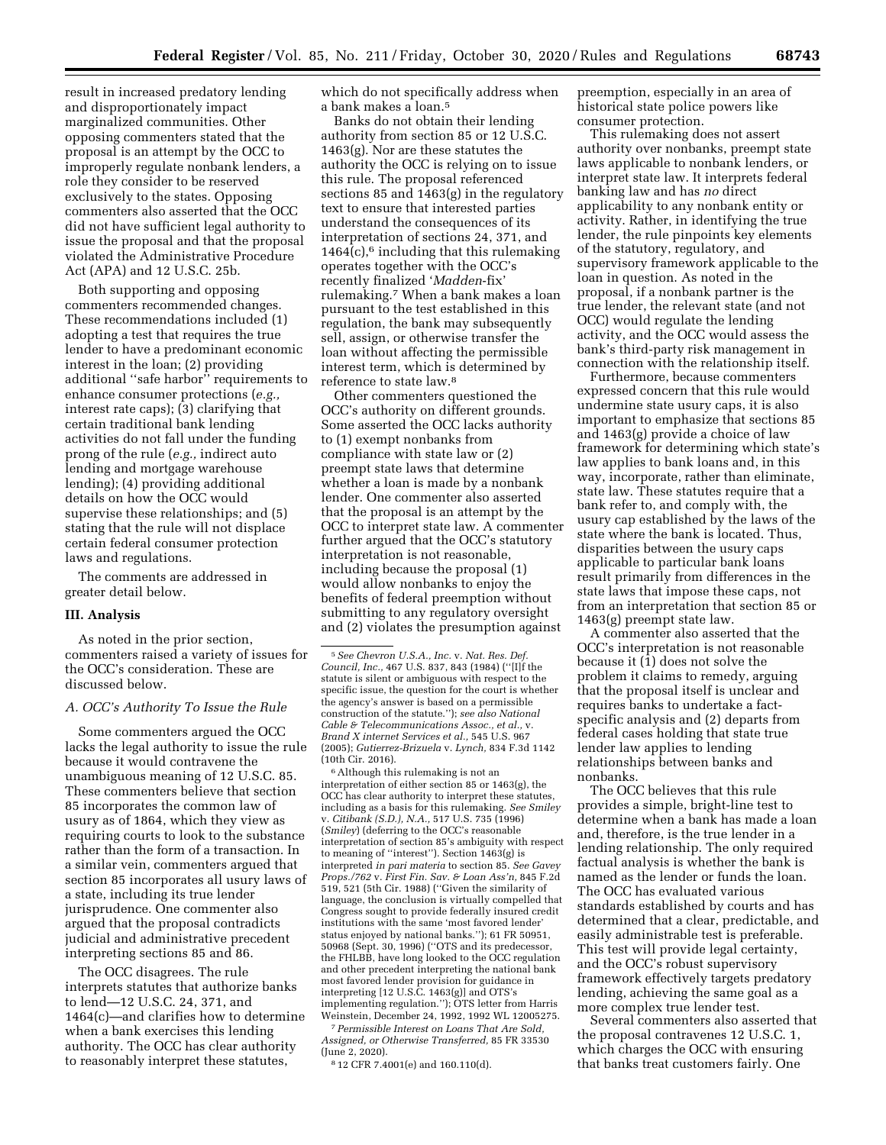result in increased predatory lending and disproportionately impact marginalized communities. Other opposing commenters stated that the proposal is an attempt by the OCC to improperly regulate nonbank lenders, a role they consider to be reserved exclusively to the states. Opposing commenters also asserted that the OCC did not have sufficient legal authority to issue the proposal and that the proposal violated the Administrative Procedure Act (APA) and 12 U.S.C. 25b.

Both supporting and opposing commenters recommended changes. These recommendations included (1) adopting a test that requires the true lender to have a predominant economic interest in the loan; (2) providing additional ''safe harbor'' requirements to enhance consumer protections (*e.g.,*  interest rate caps); (3) clarifying that certain traditional bank lending activities do not fall under the funding prong of the rule (*e.g.,* indirect auto lending and mortgage warehouse lending); (4) providing additional details on how the OCC would supervise these relationships; and (5) stating that the rule will not displace certain federal consumer protection laws and regulations.

The comments are addressed in greater detail below.

#### **III. Analysis**

As noted in the prior section, commenters raised a variety of issues for the OCC's consideration. These are discussed below.

## *A. OCC's Authority To Issue the Rule*

Some commenters argued the OCC lacks the legal authority to issue the rule because it would contravene the unambiguous meaning of 12 U.S.C. 85. These commenters believe that section 85 incorporates the common law of usury as of 1864, which they view as requiring courts to look to the substance rather than the form of a transaction. In a similar vein, commenters argued that section 85 incorporates all usury laws of a state, including its true lender jurisprudence. One commenter also argued that the proposal contradicts judicial and administrative precedent interpreting sections 85 and 86.

The OCC disagrees. The rule interprets statutes that authorize banks to lend—12 U.S.C. 24, 371, and 1464(c)—and clarifies how to determine when a bank exercises this lending authority. The OCC has clear authority to reasonably interpret these statutes,

which do not specifically address when a bank makes a loan.5

Banks do not obtain their lending authority from section 85 or 12 U.S.C. 1463(g). Nor are these statutes the authority the OCC is relying on to issue this rule. The proposal referenced sections 85 and 1463(g) in the regulatory text to ensure that interested parties understand the consequences of its interpretation of sections 24, 371, and  $1464(c)$ ,<sup>6</sup> including that this rulemaking operates together with the OCC's recently finalized '*Madden*-fix' rulemaking.7 When a bank makes a loan pursuant to the test established in this regulation, the bank may subsequently sell, assign, or otherwise transfer the loan without affecting the permissible interest term, which is determined by reference to state law.8

Other commenters questioned the OCC's authority on different grounds. Some asserted the OCC lacks authority to (1) exempt nonbanks from compliance with state law or (2) preempt state laws that determine whether a loan is made by a nonbank lender. One commenter also asserted that the proposal is an attempt by the OCC to interpret state law. A commenter further argued that the OCC's statutory interpretation is not reasonable, including because the proposal (1) would allow nonbanks to enjoy the benefits of federal preemption without submitting to any regulatory oversight and (2) violates the presumption against

6Although this rulemaking is not an interpretation of either section 85 or 1463(g), the OCC has clear authority to interpret these statutes, including as a basis for this rulemaking. *See Smiley*  v. *Citibank (S.D.), N.A.,* 517 U.S. 735 (1996) (*Smiley*) (deferring to the OCC's reasonable interpretation of section 85's ambiguity with respect to meaning of ''interest''). Section 1463(g) is interpreted *in pari materia* to section 85. *See Gavey Props./762* v. *First Fin. Sav. & Loan Ass'n,* 845 F.2d 519, 521 (5th Cir. 1988) (''Given the similarity of language, the conclusion is virtually compelled that Congress sought to provide federally insured credit institutions with the same 'most favored lender' status enjoyed by national banks.''); 61 FR 50951, 50968 (Sept. 30, 1996) (''OTS and its predecessor, the FHLBB, have long looked to the OCC regulation and other precedent interpreting the national bank most favored lender provision for guidance in interpreting [12 U.S.C. 1463(g)] and OTS's implementing regulation.''); OTS letter from Harris Weinstein, December 24, 1992, 1992 WL 12005275.

7*Permissible Interest on Loans That Are Sold, Assigned, or Otherwise Transferred,* 85 FR 33530 (June 2, 2020).

8 12 CFR 7.4001(e) and 160.110(d).

preemption, especially in an area of historical state police powers like consumer protection.

This rulemaking does not assert authority over nonbanks, preempt state laws applicable to nonbank lenders, or interpret state law. It interprets federal banking law and has *no* direct applicability to any nonbank entity or activity. Rather, in identifying the true lender, the rule pinpoints key elements of the statutory, regulatory, and supervisory framework applicable to the loan in question. As noted in the proposal, if a nonbank partner is the true lender, the relevant state (and not OCC) would regulate the lending activity, and the OCC would assess the bank's third-party risk management in connection with the relationship itself.

Furthermore, because commenters expressed concern that this rule would undermine state usury caps, it is also important to emphasize that sections 85 and 1463(g) provide a choice of law framework for determining which state's law applies to bank loans and, in this way, incorporate, rather than eliminate, state law. These statutes require that a bank refer to, and comply with, the usury cap established by the laws of the state where the bank is located. Thus, disparities between the usury caps applicable to particular bank loans result primarily from differences in the state laws that impose these caps, not from an interpretation that section 85 or 1463(g) preempt state law.

A commenter also asserted that the OCC's interpretation is not reasonable because it (1) does not solve the problem it claims to remedy, arguing that the proposal itself is unclear and requires banks to undertake a factspecific analysis and (2) departs from federal cases holding that state true lender law applies to lending relationships between banks and nonbanks.

The OCC believes that this rule provides a simple, bright-line test to determine when a bank has made a loan and, therefore, is the true lender in a lending relationship. The only required factual analysis is whether the bank is named as the lender or funds the loan. The OCC has evaluated various standards established by courts and has determined that a clear, predictable, and easily administrable test is preferable. This test will provide legal certainty, and the OCC's robust supervisory framework effectively targets predatory lending, achieving the same goal as a more complex true lender test.

Several commenters also asserted that the proposal contravenes 12 U.S.C. 1, which charges the OCC with ensuring that banks treat customers fairly. One

<sup>5</sup>*See Chevron U.S.A., Inc.* v. *Nat. Res. Def. Council, Inc.,* 467 U.S. 837, 843 (1984) (''[I]f the statute is silent or ambiguous with respect to the specific issue, the question for the court is whether the agency's answer is based on a permissible construction of the statute.''); *see also National Cable & Telecommunications Assoc., et al.,* v. *Brand X internet Services et al.,* 545 U.S. 967 (2005); *Gutierrez-Brizuela* v. *Lynch,* 834 F.3d 1142 (10th Cir. 2016).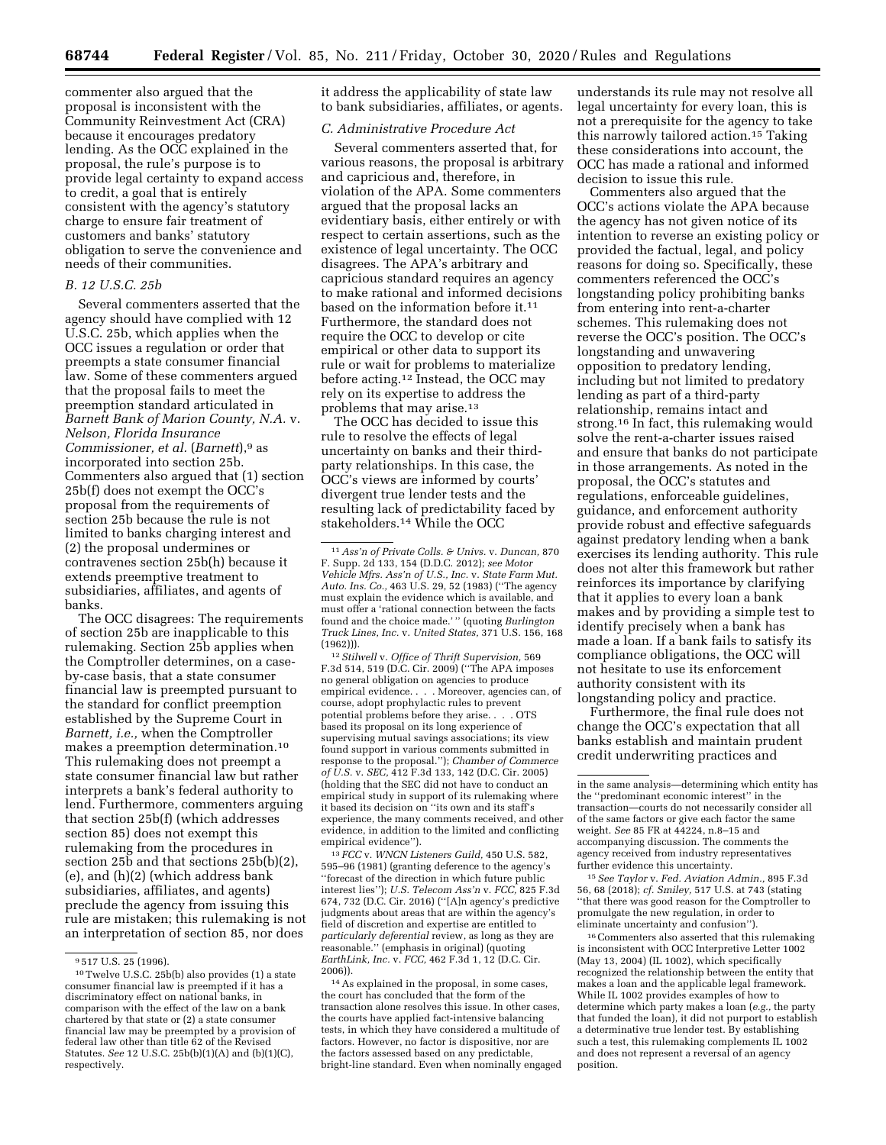commenter also argued that the proposal is inconsistent with the Community Reinvestment Act (CRA) because it encourages predatory lending. As the OCC explained in the proposal, the rule's purpose is to provide legal certainty to expand access to credit, a goal that is entirely consistent with the agency's statutory charge to ensure fair treatment of customers and banks' statutory obligation to serve the convenience and needs of their communities.

#### *B. 12 U.S.C. 25b*

Several commenters asserted that the agency should have complied with 12 U.S.C. 25b, which applies when the OCC issues a regulation or order that preempts a state consumer financial law. Some of these commenters argued that the proposal fails to meet the preemption standard articulated in *Barnett Bank of Marion County, N.A.* v. *Nelson, Florida Insurance Commissioner, et al.* (*Barnett*),9 as incorporated into section 25b. Commenters also argued that (1) section 25b(f) does not exempt the OCC's proposal from the requirements of section 25b because the rule is not limited to banks charging interest and (2) the proposal undermines or contravenes section 25b(h) because it extends preemptive treatment to subsidiaries, affiliates, and agents of banks.

The OCC disagrees: The requirements of section 25b are inapplicable to this rulemaking. Section 25b applies when the Comptroller determines, on a caseby-case basis, that a state consumer financial law is preempted pursuant to the standard for conflict preemption established by the Supreme Court in *Barnett, i.e.,* when the Comptroller makes a preemption determination.10 This rulemaking does not preempt a state consumer financial law but rather interprets a bank's federal authority to lend. Furthermore, commenters arguing that section 25b(f) (which addresses section 85) does not exempt this rulemaking from the procedures in section 25b and that sections 25b(b)(2), (e), and (h)(2) (which address bank subsidiaries, affiliates, and agents) preclude the agency from issuing this rule are mistaken; this rulemaking is not an interpretation of section 85, nor does

it address the applicability of state law to bank subsidiaries, affiliates, or agents.

## *C. Administrative Procedure Act*

Several commenters asserted that, for various reasons, the proposal is arbitrary and capricious and, therefore, in violation of the APA. Some commenters argued that the proposal lacks an evidentiary basis, either entirely or with respect to certain assertions, such as the existence of legal uncertainty. The OCC disagrees. The APA's arbitrary and capricious standard requires an agency to make rational and informed decisions based on the information before it <sup>11</sup> Furthermore, the standard does not require the OCC to develop or cite empirical or other data to support its rule or wait for problems to materialize before acting.<sup>12</sup> Instead, the OCC may rely on its expertise to address the problems that may arise.13

The OCC has decided to issue this rule to resolve the effects of legal uncertainty on banks and their thirdparty relationships. In this case, the OCC's views are informed by courts' divergent true lender tests and the resulting lack of predictability faced by stakeholders.14 While the OCC

12*Stilwell* v. *Office of Thrift Supervision,* 569 F.3d 514, 519 (D.C. Cir. 2009) (''The APA imposes no general obligation on agencies to produce empirical evidence. . . . Moreover, agencies can, of course, adopt prophylactic rules to prevent potential problems before they arise. . . . OTS based its proposal on its long experience of supervising mutual savings associations; its view found support in various comments submitted in response to the proposal.''); *Chamber of Commerce of U.S.* v. *SEC,* 412 F.3d 133, 142 (D.C. Cir. 2005) (holding that the SEC did not have to conduct an empirical study in support of its rulemaking where it based its decision on ''its own and its staff's experience, the many comments received, and other evidence, in addition to the limited and conflicting empirical evidence'').

13 *FCC* v. *WNCN Listeners Guild,* 450 U.S. 582, 595–96 (1981) (granting deference to the agency's ''forecast of the direction in which future public interest lies''); *U.S. Telecom Ass'n* v. *FCC,* 825 F.3d 674, 732 (D.C. Cir. 2016) (''[A]n agency's predictive judgments about areas that are within the agency's field of discretion and expertise are entitled to *particularly deferential* review, as long as they are reasonable.'' (emphasis in original) (quoting *EarthLink, Inc.* v. *FCC,* 462 F.3d 1, 12 (D.C. Cir. 2006)).

understands its rule may not resolve all legal uncertainty for every loan, this is not a prerequisite for the agency to take this narrowly tailored action.15 Taking these considerations into account, the OCC has made a rational and informed decision to issue this rule.

Commenters also argued that the OCC's actions violate the APA because the agency has not given notice of its intention to reverse an existing policy or provided the factual, legal, and policy reasons for doing so. Specifically, these commenters referenced the OCC's longstanding policy prohibiting banks from entering into rent-a-charter schemes. This rulemaking does not reverse the OCC's position. The OCC's longstanding and unwavering opposition to predatory lending, including but not limited to predatory lending as part of a third-party relationship, remains intact and strong.16 In fact, this rulemaking would solve the rent-a-charter issues raised and ensure that banks do not participate in those arrangements. As noted in the proposal, the OCC's statutes and regulations, enforceable guidelines, guidance, and enforcement authority provide robust and effective safeguards against predatory lending when a bank exercises its lending authority. This rule does not alter this framework but rather reinforces its importance by clarifying that it applies to every loan a bank makes and by providing a simple test to identify precisely when a bank has made a loan. If a bank fails to satisfy its compliance obligations, the OCC will not hesitate to use its enforcement authority consistent with its longstanding policy and practice.

Furthermore, the final rule does not change the OCC's expectation that all banks establish and maintain prudent credit underwriting practices and

15*See Taylor* v. *Fed. Aviation Admin.,* 895 F.3d 56, 68 (2018); *cf. Smiley,* 517 U.S. at 743 (stating ''that there was good reason for the Comptroller to promulgate the new regulation, in order to eliminate uncertainty and confusion'').

16Commenters also asserted that this rulemaking is inconsistent with OCC Interpretive Letter 1002 (May 13, 2004) (IL 1002), which specifically recognized the relationship between the entity that makes a loan and the applicable legal framework. While IL 1002 provides examples of how to determine which party makes a loan (*e.g.,* the party that funded the loan), it did not purport to establish a determinative true lender test. By establishing such a test, this rulemaking complements IL 1002 and does not represent a reversal of an agency position.

<sup>9</sup> 517 U.S. 25 (1996).

<sup>10</sup>Twelve U.S.C. 25b(b) also provides (1) a state consumer financial law is preempted if it has a discriminatory effect on national banks, in comparison with the effect of the law on a bank chartered by that state or (2) a state consumer financial law may be preempted by a provision of federal law other than title 62 of the Revised Statutes. *See* 12 U.S.C. 25b(b)(1)(A) and (b)(1)(C), respectively.

<sup>11</sup>*Ass'n of Private Colls. & Univs.* v. *Duncan,* 870 F. Supp. 2d 133, 154 (D.D.C. 2012); *see Motor Vehicle Mfrs. Ass'n of U.S., Inc.* v. *State Farm Mut. Auto. Ins. Co.,* 463 U.S. 29, 52 (1983) (''The agency must explain the evidence which is available, and must offer a 'rational connection between the facts found and the choice made.' '' (quoting *Burlington Truck Lines, Inc.* v. *United States,* 371 U.S. 156, 168 (1962))).

<sup>14</sup>As explained in the proposal, in some cases, the court has concluded that the form of the transaction alone resolves this issue. In other cases, the courts have applied fact-intensive balancing tests, in which they have considered a multitude of factors. However, no factor is dispositive, nor are the factors assessed based on any predictable, bright-line standard. Even when nominally engaged

in the same analysis—determining which entity has the ''predominant economic interest'' in the transaction—courts do not necessarily consider all of the same factors or give each factor the same weight. *See* 85 FR at 44224, n.8–15 and accompanying discussion. The comments the agency received from industry representatives further evidence this uncertainty.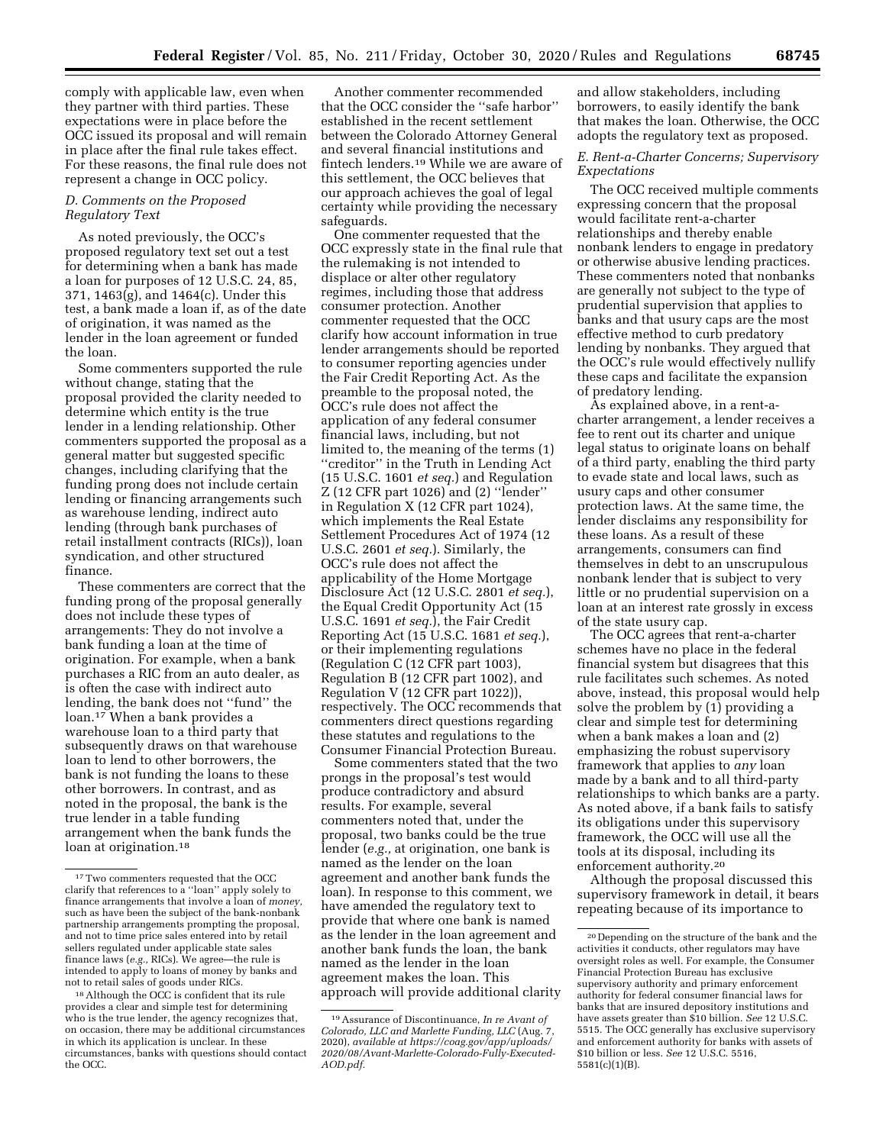comply with applicable law, even when they partner with third parties. These expectations were in place before the OCC issued its proposal and will remain in place after the final rule takes effect. For these reasons, the final rule does not represent a change in OCC policy.

## *D. Comments on the Proposed Regulatory Text*

As noted previously, the OCC's proposed regulatory text set out a test for determining when a bank has made a loan for purposes of 12 U.S.C. 24, 85, 371, 1463(g), and 1464(c). Under this test, a bank made a loan if, as of the date of origination, it was named as the lender in the loan agreement or funded the loan.

Some commenters supported the rule without change, stating that the proposal provided the clarity needed to determine which entity is the true lender in a lending relationship. Other commenters supported the proposal as a general matter but suggested specific changes, including clarifying that the funding prong does not include certain lending or financing arrangements such as warehouse lending, indirect auto lending (through bank purchases of retail installment contracts (RICs)), loan syndication, and other structured finance.

These commenters are correct that the funding prong of the proposal generally does not include these types of arrangements: They do not involve a bank funding a loan at the time of origination. For example, when a bank purchases a RIC from an auto dealer, as is often the case with indirect auto lending, the bank does not ''fund'' the loan.17 When a bank provides a warehouse loan to a third party that subsequently draws on that warehouse loan to lend to other borrowers, the bank is not funding the loans to these other borrowers. In contrast, and as noted in the proposal, the bank is the true lender in a table funding arrangement when the bank funds the loan at origination.<sup>18</sup>

Another commenter recommended that the OCC consider the ''safe harbor'' established in the recent settlement between the Colorado Attorney General and several financial institutions and fintech lenders.19 While we are aware of this settlement, the OCC believes that our approach achieves the goal of legal certainty while providing the necessary safeguards.

One commenter requested that the OCC expressly state in the final rule that the rulemaking is not intended to displace or alter other regulatory regimes, including those that address consumer protection. Another commenter requested that the OCC clarify how account information in true lender arrangements should be reported to consumer reporting agencies under the Fair Credit Reporting Act. As the preamble to the proposal noted, the OCC's rule does not affect the application of any federal consumer financial laws, including, but not limited to, the meaning of the terms (1) ''creditor'' in the Truth in Lending Act (15 U.S.C. 1601 *et seq.*) and Regulation Z (12 CFR part 1026) and (2) ''lender'' in Regulation X (12 CFR part 1024), which implements the Real Estate Settlement Procedures Act of 1974 (12 U.S.C. 2601 *et seq.*). Similarly, the OCC's rule does not affect the applicability of the Home Mortgage Disclosure Act (12 U.S.C. 2801 *et seq.*), the Equal Credit Opportunity Act (15 U.S.C. 1691 *et seq.*), the Fair Credit Reporting Act (15 U.S.C. 1681 *et seq.*), or their implementing regulations (Regulation C (12 CFR part 1003), Regulation B (12 CFR part 1002), and Regulation V (12 CFR part 1022)), respectively. The OCC recommends that commenters direct questions regarding these statutes and regulations to the Consumer Financial Protection Bureau.

Some commenters stated that the two prongs in the proposal's test would produce contradictory and absurd results. For example, several commenters noted that, under the proposal, two banks could be the true lender (*e.g.,* at origination, one bank is named as the lender on the loan agreement and another bank funds the loan). In response to this comment, we have amended the regulatory text to provide that where one bank is named as the lender in the loan agreement and another bank funds the loan, the bank named as the lender in the loan agreement makes the loan. This approach will provide additional clarity and allow stakeholders, including borrowers, to easily identify the bank that makes the loan. Otherwise, the OCC adopts the regulatory text as proposed.

## *E. Rent-a-Charter Concerns; Supervisory Expectations*

The OCC received multiple comments expressing concern that the proposal would facilitate rent-a-charter relationships and thereby enable nonbank lenders to engage in predatory or otherwise abusive lending practices. These commenters noted that nonbanks are generally not subject to the type of prudential supervision that applies to banks and that usury caps are the most effective method to curb predatory lending by nonbanks. They argued that the OCC's rule would effectively nullify these caps and facilitate the expansion of predatory lending.

As explained above, in a rent-acharter arrangement, a lender receives a fee to rent out its charter and unique legal status to originate loans on behalf of a third party, enabling the third party to evade state and local laws, such as usury caps and other consumer protection laws. At the same time, the lender disclaims any responsibility for these loans. As a result of these arrangements, consumers can find themselves in debt to an unscrupulous nonbank lender that is subject to very little or no prudential supervision on a loan at an interest rate grossly in excess of the state usury cap.

The OCC agrees that rent-a-charter schemes have no place in the federal financial system but disagrees that this rule facilitates such schemes. As noted above, instead, this proposal would help solve the problem by (1) providing a clear and simple test for determining when a bank makes a loan and (2) emphasizing the robust supervisory framework that applies to *any* loan made by a bank and to all third-party relationships to which banks are a party. As noted above, if a bank fails to satisfy its obligations under this supervisory framework, the OCC will use all the tools at its disposal, including its enforcement authority.20

Although the proposal discussed this supervisory framework in detail, it bears repeating because of its importance to

<sup>17</sup>Two commenters requested that the OCC clarify that references to a ''loan'' apply solely to finance arrangements that involve a loan of *money,*  such as have been the subject of the bank-nonbank partnership arrangements prompting the proposal, and not to time price sales entered into by retail sellers regulated under applicable state sales finance laws (*e.g.,* RICs). We agree—the rule is intended to apply to loans of money by banks and not to retail sales of goods under RICs.

<sup>18</sup>Although the OCC is confident that its rule provides a clear and simple test for determining who is the true lender, the agency recognizes that, on occasion, there may be additional circumstances in which its application is unclear. In these circumstances, banks with questions should contact the OCC.

<sup>19</sup>Assurance of Discontinuance, *In re Avant of Colorado, LLC and Marlette Funding, LLC* (Aug. 7, 2020), *available at [https://coag.gov/app/uploads/](https://coag.gov/app/uploads/2020/08/Avant-Marlette-Colorado-Fully-Executed-AOD.pdf) [2020/08/Avant-Marlette-Colorado-Fully-Executed-](https://coag.gov/app/uploads/2020/08/Avant-Marlette-Colorado-Fully-Executed-AOD.pdf)[AOD.pdf.](https://coag.gov/app/uploads/2020/08/Avant-Marlette-Colorado-Fully-Executed-AOD.pdf)* 

<sup>20</sup> Depending on the structure of the bank and the activities it conducts, other regulators may have oversight roles as well. For example, the Consumer Financial Protection Bureau has exclusive supervisory authority and primary enforcement authority for federal consumer financial laws for banks that are insured depository institutions and have assets greater than \$10 billion. *See* 12 U.S.C. 5515. The OCC generally has exclusive supervisory and enforcement authority for banks with assets of \$10 billion or less. *See* 12 U.S.C. 5516, 5581(c)(1)(B).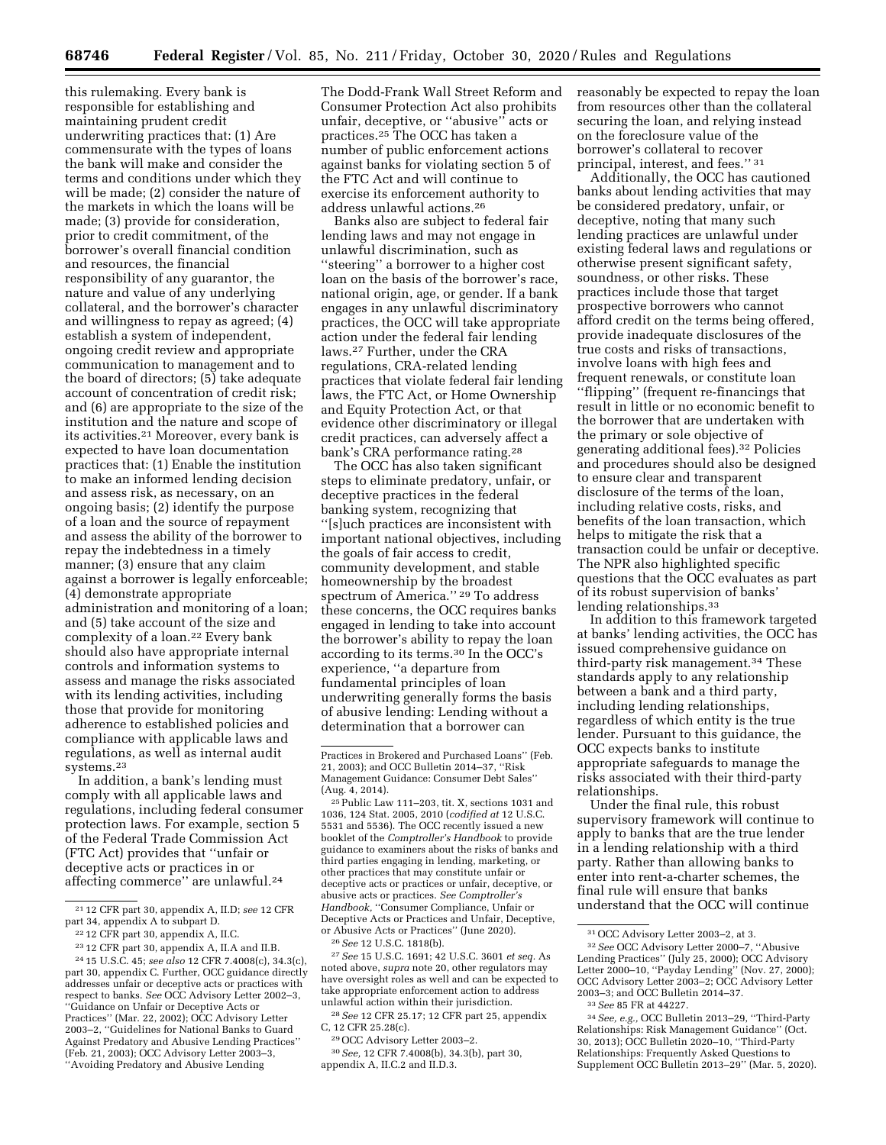this rulemaking. Every bank is responsible for establishing and maintaining prudent credit underwriting practices that: (1) Are commensurate with the types of loans the bank will make and consider the terms and conditions under which they will be made; (2) consider the nature of the markets in which the loans will be made; (3) provide for consideration, prior to credit commitment, of the borrower's overall financial condition and resources, the financial responsibility of any guarantor, the nature and value of any underlying collateral, and the borrower's character and willingness to repay as agreed; (4) establish a system of independent, ongoing credit review and appropriate communication to management and to the board of directors; (5) take adequate account of concentration of credit risk; and (6) are appropriate to the size of the institution and the nature and scope of its activities.21 Moreover, every bank is expected to have loan documentation practices that: (1) Enable the institution to make an informed lending decision and assess risk, as necessary, on an ongoing basis; (2) identify the purpose of a loan and the source of repayment and assess the ability of the borrower to repay the indebtedness in a timely manner; (3) ensure that any claim against a borrower is legally enforceable; (4) demonstrate appropriate administration and monitoring of a loan; and (5) take account of the size and complexity of a loan.22 Every bank should also have appropriate internal controls and information systems to assess and manage the risks associated with its lending activities, including those that provide for monitoring adherence to established policies and compliance with applicable laws and regulations, as well as internal audit systems.23

In addition, a bank's lending must comply with all applicable laws and regulations, including federal consumer protection laws. For example, section 5 of the Federal Trade Commission Act (FTC Act) provides that ''unfair or deceptive acts or practices in or affecting commerce'' are unlawful.24

The Dodd-Frank Wall Street Reform and Consumer Protection Act also prohibits unfair, deceptive, or ''abusive'' acts or practices.25 The OCC has taken a number of public enforcement actions against banks for violating section 5 of the FTC Act and will continue to exercise its enforcement authority to address unlawful actions.26

Banks also are subject to federal fair lending laws and may not engage in unlawful discrimination, such as ''steering'' a borrower to a higher cost loan on the basis of the borrower's race, national origin, age, or gender. If a bank engages in any unlawful discriminatory practices, the OCC will take appropriate action under the federal fair lending laws.27 Further, under the CRA regulations, CRA-related lending practices that violate federal fair lending laws, the FTC Act, or Home Ownership and Equity Protection Act, or that evidence other discriminatory or illegal credit practices, can adversely affect a bank's CRA performance rating.28

The OCC has also taken significant steps to eliminate predatory, unfair, or deceptive practices in the federal banking system, recognizing that ''[s]uch practices are inconsistent with important national objectives, including the goals of fair access to credit, community development, and stable homeownership by the broadest spectrum of America.'' 29 To address these concerns, the OCC requires banks engaged in lending to take into account the borrower's ability to repay the loan according to its terms.30 In the OCC's experience, ''a departure from fundamental principles of loan underwriting generally forms the basis of abusive lending: Lending without a determination that a borrower can

25Public Law 111–203, tit. X, sections 1031 and 1036, 124 Stat. 2005, 2010 (*codified at* 12 U.S.C. 5531 and 5536). The OCC recently issued a new booklet of the *Comptroller's Handbook* to provide guidance to examiners about the risks of banks and third parties engaging in lending, marketing, or other practices that may constitute unfair or deceptive acts or practices or unfair, deceptive, or abusive acts or practices. *See Comptroller's Handbook,* ''Consumer Compliance, Unfair or Deceptive Acts or Practices and Unfair, Deceptive, or Abusive Acts or Practices'' (June 2020).

26*See* 12 U.S.C. 1818(b).

27*See* 15 U.S.C. 1691; 42 U.S.C. 3601 *et seq.* As noted above, *supra* note 20, other regulators may have oversight roles as well and can be expected to take appropriate enforcement action to address unlawful action within their jurisdiction.

28*See* 12 CFR 25.17; 12 CFR part 25, appendix C, 12 CFR 25.28(c).

30*See,* 12 CFR 7.4008(b), 34.3(b), part 30, appendix A, II.C.2 and II.D.3.

reasonably be expected to repay the loan from resources other than the collateral securing the loan, and relying instead on the foreclosure value of the borrower's collateral to recover principal, interest, and fees.'' 31

Additionally, the OCC has cautioned banks about lending activities that may be considered predatory, unfair, or deceptive, noting that many such lending practices are unlawful under existing federal laws and regulations or otherwise present significant safety, soundness, or other risks. These practices include those that target prospective borrowers who cannot afford credit on the terms being offered, provide inadequate disclosures of the true costs and risks of transactions, involve loans with high fees and frequent renewals, or constitute loan ''flipping'' (frequent re-financings that result in little or no economic benefit to the borrower that are undertaken with the primary or sole objective of generating additional fees).32 Policies and procedures should also be designed to ensure clear and transparent disclosure of the terms of the loan, including relative costs, risks, and benefits of the loan transaction, which helps to mitigate the risk that a transaction could be unfair or deceptive. The NPR also highlighted specific questions that the OCC evaluates as part of its robust supervision of banks' lending relationships.33

In addition to this framework targeted at banks' lending activities, the OCC has issued comprehensive guidance on third-party risk management.34 These standards apply to any relationship between a bank and a third party, including lending relationships, regardless of which entity is the true lender. Pursuant to this guidance, the OCC expects banks to institute appropriate safeguards to manage the risks associated with their third-party relationships.

Under the final rule, this robust supervisory framework will continue to apply to banks that are the true lender in a lending relationship with a third party. Rather than allowing banks to enter into rent-a-charter schemes, the final rule will ensure that banks understand that the OCC will continue

<sup>21</sup> 12 CFR part 30, appendix A, II.D; *see* 12 CFR part 34, appendix A to subpart D.

<sup>22</sup> 12 CFR part 30, appendix A, II.C.

<sup>23</sup> 12 CFR part 30, appendix A, II.A and II.B.

<sup>24</sup> 15 U.S.C. 45; *see also* 12 CFR 7.4008(c), 34.3(c), part 30, appendix C. Further, OCC guidance directly addresses unfair or deceptive acts or practices with respect to banks. *See* OCC Advisory Letter 2002–3, ''Guidance on Unfair or Deceptive Acts or Practices'' (Mar. 22, 2002); OCC Advisory Letter 2003–2, ''Guidelines for National Banks to Guard Against Predatory and Abusive Lending Practices'' (Feb. 21, 2003); OCC Advisory Letter 2003–3, ''Avoiding Predatory and Abusive Lending

Practices in Brokered and Purchased Loans'' (Feb. 21, 2003); and OCC Bulletin 2014–37, ''Risk Management Guidance: Consumer Debt Sales'' (Aug. 4, 2014).

<sup>29</sup>OCC Advisory Letter 2003–2.

<sup>31</sup>OCC Advisory Letter 2003–2, at 3.

<sup>32</sup>*See* OCC Advisory Letter 2000–7, ''Abusive Lending Practices'' (July 25, 2000); OCC Advisory Letter 2000–10, ''Payday Lending'' (Nov. 27, 2000); OCC Advisory Letter 2003–2; OCC Advisory Letter 2003–3; and OCC Bulletin 2014–37.

<sup>33</sup>*See* 85 FR at 44227.

<sup>34</sup>*See, e.g.,* OCC Bulletin 2013–29, ''Third-Party Relationships: Risk Management Guidance'' (Oct. 30, 2013); OCC Bulletin 2020–10, ''Third-Party Relationships: Frequently Asked Questions to Supplement OCC Bulletin 2013–29'' (Mar. 5, 2020).